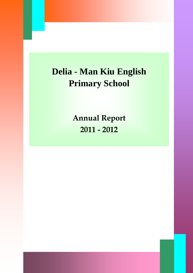# **Delia - Man Kiu English Primary School**

**Annual Report 2011 - 2012**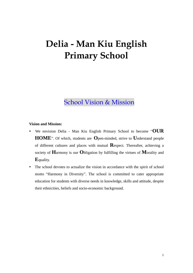## **Delia - Man Kiu English Primary School**

## School Vision & Mission

## **Vision and Mission:**

- We envision Delia Man Kiu English Primary School to become "**OUR HOME**". Of which, students are **O**pen-minded, strive to **U**nderstand people of different cultures and places with mutual **R**espect. Thereafter, achieving a society of **H**armony is our **O**bligation by fulfilling the virtues of **M**orality and **E**quality.
- The school devotes to actualize the vision in accordance with the spirit of school motto "Harmony in Diversity". The school is committed to cater appropriate education for students with diverse needs in knowledge, skills and attitude, despite their ethnicities, beliefs and socio-economic background.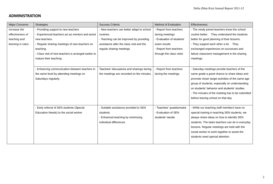## **ADMINISTRATION**

| <b>Major Concerns</b> | <b>Strategies</b>                                  | Success Criteria                          | Method of Evaluation      | Effectiveness                                    |
|-----------------------|----------------------------------------------------|-------------------------------------------|---------------------------|--------------------------------------------------|
| Increase the          | - Providing support to new teachers                | - New teachers can better adapt to school | - Report from teachers    | - The newly joined teachers know the school      |
| effectiveness of      | - Experienced teachers act as mentors and assist   | routines.                                 | during meetings           | routine better. They understand the students     |
| teaching and          | new teachers.                                      | - Teaching can be improved by providing   | - Evaluation of students' | better for good planning of their lessons.       |
| learning in class     | - Regular sharing meetings of new teachers on      | assistance after the class visit and the  | exam results              | - They support each other a lot. They            |
|                       | teaching.                                          | regular sharing meetings                  | - Report from teachers    | exchanged experiences on successes and           |
|                       | Class visit of new teachers is arranged earlier to |                                           | through the class visits  | failure classroom management in the sharing      |
|                       | mature their teaching.                             |                                           |                           | meetings.                                        |
|                       |                                                    |                                           |                           |                                                  |
|                       | - Enhancing communication between teachers in      | Teachers' discussions and sharings during | - Report from teachers    | - Saturday meetings provide teachers of the      |
|                       | the same level by attending meetings on            | the meetings are recorded on the minutes. | during the meetings.      | same grade a good chance to share ideas and      |
|                       | Saturdays regularly.                               |                                           |                           | promote closer target activities of the same age |
|                       |                                                    |                                           |                           | group of students, especially on understanding   |
|                       |                                                    |                                           |                           | on students' behavior and students' studies.     |
|                       |                                                    |                                           |                           | - The minutes of the meeting has to be submitted |
|                       |                                                    |                                           |                           | before leaving school on that day.               |
|                       |                                                    |                                           |                           |                                                  |
|                       | - Early referral of SEN students (Special          | - Suitable assistance provided to SEN     | - Teachers' questionnaire | - While our teaching staff members have no       |
|                       | Education Needs) to the social worker              | students                                  | - Evaluation of SEN       | special training in teaching SEN students, we    |
|                       |                                                    | Enhanced teaching by minimizing           | students' results         | always share ideas on how to identify SEN        |
|                       |                                                    | individual differences                    |                           | students. The tasks teachers can do in everyday  |
|                       |                                                    |                                           |                           | lessons. Regular meetings are held with the      |
|                       |                                                    |                                           |                           | social worker to work together to assist the     |
|                       |                                                    |                                           |                           | students need special attention.                 |
|                       |                                                    |                                           |                           |                                                  |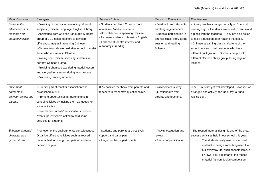| <b>Major Concerns</b> | <b>Strategies</b>                                   | Success Criteria                          | Method of Evaluation         | Effectiveness                                      |
|-----------------------|-----------------------------------------------------|-------------------------------------------|------------------------------|----------------------------------------------------|
| Increase the          | - Providing resources in developing different       | - Students can learn Chinese more         | - Feedback from students     | - Library teacher arranged activity on "the world  |
| effectiveness of      | subjects (Chinese Language, English, Library).      | effectively Build up students'            | and language teachers.       | reading day", all students are asked to read aloud |
| teaching and          | - Assistance from Chinese Language Support          | self-confidence in speaking Chinese.      | -Students' participation in  | a piece with the teachers. They are also asked     |
| learning in class     | group of EDB helps teachers to develop              | - Increase students' interest in English. | phonics class, story-telling | to raise a question after reading the piece.       |
|                       | different strategies in teaching Chinese.           | Enhance students' interest and            | session and reading          | - Chinese streaming class is also one of the       |
|                       | - Chinese tutorials are held after school to assist | autonomy in reading.                      | Scheme.                      | school policies to help students who have          |
|                       | those who are weak in Chinese.                      |                                           |                              | different background. Students are put into        |
|                       | - Inviting non-Chinese speaking students to         |                                           |                              | different Chinese ability group during regular     |
|                       | perform Chinese drama.                              |                                           |                              | lessons.                                           |
|                       | - Providing phonics class during tutorial lesson    |                                           |                              |                                                    |
|                       | and story-telling session during lunch recess.      |                                           |                              |                                                    |
|                       | - Promoting reading scheme.                         |                                           |                              |                                                    |
|                       |                                                     |                                           |                              |                                                    |
| Implement             | - Our first parent-teacher association was          | 80% positive feedback from parents and    | -Stakeholders' survey        | -The PTA is not yet well developed. However, we    |
| partnership           | established in 2011.                                | teachers in respective questionnaires.    | -Questionnaire from          | arranged one activity, the Red Day, a "fund        |
| between school and    | - Promote opportunities for parents to join         |                                           | parents and teachers.        | raising day".                                      |
| parents               | school activities by inviting them as judges for    |                                           |                              |                                                    |
|                       | some activities                                     |                                           |                              |                                                    |
|                       | - To enhance parents' participation in school       |                                           |                              |                                                    |
|                       | events, parents were asked to hold some             |                                           |                              |                                                    |
|                       | activities for students.                            |                                           |                              |                                                    |
|                       |                                                     |                                           |                              |                                                    |
| Enhance students'     | Promotion of the environmental consciousness        | - Students and parents are positively     | - Activity evaluation and    | - The resued material design is one of the great   |
| character as a        | Organize different activities such as reused        | support and participate.                  | review.                      | success activities held in our school this year.   |
| global citizen        | material fashion design competition and one         | - Large number of participants.           | - Record of participation.   | The students really used some used                 |
|                       | person one plant.                                   |                                           |                              | material to design something useful in             |
|                       |                                                     |                                           |                              | our everyday life, such as table lamp, a           |
|                       |                                                     |                                           |                              | tin jewel box, bookmarks, the reused               |
|                       |                                                     |                                           |                              | material fashion design competition.               |
|                       |                                                     |                                           |                              |                                                    |
|                       |                                                     |                                           |                              |                                                    |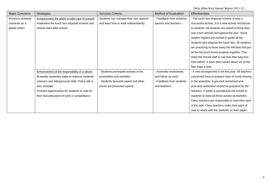| <b>Major Concerns</b> | <b>Strategies</b>                                | Success Criteria                      | <b>Method of Evaluation</b> | <b>Effectiveness</b>                                 |
|-----------------------|--------------------------------------------------|---------------------------------------|-----------------------------|------------------------------------------------------|
| Enhance students'     | Enhancement the ability to take care of oneself  | Students can manage their own aspects | - Feedback from students.   | - The lunch box disposal scheme is only a            |
| character as a        | Implement the lunch box disposal scheme and      | and learn how to work independently.  | parents and teachers.       | successful activity. It is a new activity introduced |
| global citizen        | tutorial class after school.                     |                                       |                             | to students. All students are asked to bring their   |
|                       |                                                  |                                       |                             | own lunch utensils throughout the year. Some         |
|                       |                                                  |                                       |                             | student helpers are trained to guide all the         |
|                       |                                                  |                                       |                             | students who dispose the lunch box. All students     |
|                       |                                                  |                                       |                             | are practicing to throw away the left food and put   |
|                       |                                                  |                                       |                             | all the foil lunch boxes properly together. This     |
|                       |                                                  |                                       |                             | helps the menial staff to use less litter bag less   |
|                       |                                                  |                                       |                             | than before. It have been saved about 1/4 of the     |
|                       |                                                  |                                       |                             | litter bags a year.                                  |
|                       | Enhancement of the responsibility of a citizen   | Students participate actively in the  | - Assembly worksheets       | - A new arrangement is set this year. All teachers   |
|                       | Bi-weekly assembly helps to improve students'    | assemblies and activities.            | and follow up work.         | concerned have to prepare topic of moral sharing     |
|                       | manners and interpersonal skills. Police talk is | · Students favourite award and other  | - Feedback from students    | in the assembly. A pre-task worksheet and            |
|                       | also included.                                   | prizes are presented openly.          | and teachers.               | post-task worksheet should be prepared by the        |
|                       | Promote opportunities for students to vote for   |                                       |                             | teachers. A folder is provided by the school to      |
|                       | their favourite piece of work in competitions.   |                                       |                             | students to keep all these activity worksheets.      |
|                       |                                                  |                                       |                             | Class teachers are responsible to read their work    |
|                       |                                                  |                                       |                             | of the task. Class teachers make their point of      |
|                       |                                                  |                                       |                             | view to share with the students on their paper.      |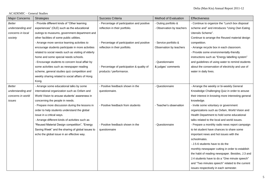### ACADEMIC – General Studies

| <b>Major Concerns</b> | <b>Strategies</b>                                   | Success Criteria                           | <b>Method of Evaluation</b> | Effectiveness                                      |
|-----------------------|-----------------------------------------------------|--------------------------------------------|-----------------------------|----------------------------------------------------|
| Better                | - Provide different kinds of "Other learning        | - Percentage of participation and positive | - Outing portfolio &        | - Continue to organize the "Lunch box disposal     |
| understanding and     | experiences" (OLE) such as the educational          | reflection in their portfolio.             | - Observation by teachers   | scheme and" and introduces "Using Own Eating       |
| concerns in local     | outings to museums, government department and       |                                            |                             | Utensils Scheme".                                  |
| society               | other facilities of some public utilities.          |                                            |                             | Continue to arrange the Reused material design     |
|                       | - Arrange more service learning activities to       | - Percentage of participation and positive | - Service portfolio &       | competition.                                       |
|                       | encourage students participate in more activities   | reflection in their portfolio.             | Observation by teachers     | - Arrange recycle box in each classroom.           |
|                       | related to social needs such as visiting of elderly |                                            |                             | - Provide some environmentally-friendly            |
|                       | home and some special needs schools.                |                                            |                             | instructions such as "Energy labelling system"     |
|                       | - Encourage students to concern local affair by     |                                            | - Questionnaire             | and guidelines of using water to remind students   |
|                       | some activities such as newspaper reading           | - Percentage of participation & quality of | & judges' comments          | about the conservation of electricity and use of   |
|                       | scheme, general studies quiz competition and        | products / performance.                    |                             | water in daily lives.                              |
|                       | weekly sharing related to social affairs of Hong    |                                            |                             |                                                    |
|                       | Kong.                                               |                                            |                             |                                                    |
| Better                | - Arrange some educational talks by some            | - Positive feedback shown in the           | - Questionnaire             | - Arrange the weekly or bi-weekly General          |
| understanding and     | international organization such as Oxfam and        | questionnaire.                             |                             | Knowledge Challenging Quiz in order to arouse      |
| concerns in world     | World Vision to arouse students' awareness in       |                                            |                             | their interest in knowing more interesting general |
| issues                | concerning the people in needs.                     |                                            |                             | knowledge.                                         |
|                       | - Prepare more discussion during the lessons in     | - Positive feedback from students          | - Teacher's observation     | - Invite some voluntary or government              |
|                       | order to help students understand the global        |                                            |                             | organizations such as Oxfam, World Vision and      |
|                       | issue in a critical ways.                           |                                            |                             | Health Department to hold some educational         |
|                       | - Arrange different kinds of activities such as     |                                            |                             | talks related to the local and world issues.       |
|                       | "Reused Material Design competition", "Energy       | - Positive feedback shown in the           | - Questionnaire             | - Prepare a monthly radio news report campaign     |
|                       | Saving Week" and the sharing of global issues to    | questionnaire                              |                             | to let student have chances to share some          |
|                       | echo the global issue in an effective way.          |                                            |                             | important news and hot issues with the             |
|                       |                                                     |                                            |                             | schoolmates.                                       |
|                       |                                                     |                                            |                             | - J.5-6 students have to do the                    |
|                       |                                                     |                                            |                             | monthly-newspaper cutting in order to establish    |
|                       |                                                     |                                            |                             | the habit of reading newspaper. Besides, J.3 and   |
|                       |                                                     |                                            |                             | J.4 students have to do a "One minute speech"      |
|                       |                                                     |                                            |                             | and "Two minutes speech" related to the current    |
|                       |                                                     |                                            |                             | issues respectively in each semester.              |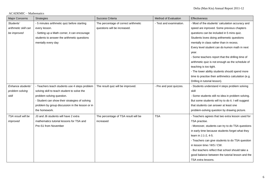ACADEMIC – Mathematics

| Major Concerns       | <b>Strategies</b>                               | Success Criteria                     | Method of Evaluation    | Effectiveness                                        |
|----------------------|-------------------------------------------------|--------------------------------------|-------------------------|------------------------------------------------------|
| Students'            | - 5 minutes arithmetic quiz before starting     | The percentage of correct arithmetic | - Test and examination. | - Most of the students' calculation accuracy and     |
| arithmetic skill can | every lesson.                                   | questions will be increased.         |                         | speed are inproved. Some previous chapters           |
| be improved          | - Setting up a Math corner, it can encourage    |                                      |                         | questions can be included in 5 mins quiz.            |
|                      | students to answer the arithmetic questions     |                                      |                         | Students loves doing arithemetic questions           |
|                      | mentally every day                              |                                      |                         | mentally in class rather than in recess.             |
|                      |                                                 |                                      |                         | Every level student can do kumon math in next        |
|                      |                                                 |                                      |                         | year.                                                |
|                      |                                                 |                                      |                         | - Some teachers report that the drilling time of     |
|                      |                                                 |                                      |                         | arithmetic quiz is not enough as the schedule of     |
|                      |                                                 |                                      |                         | teaching is too tight.                               |
|                      |                                                 |                                      |                         | - The lower ability students should spend more       |
|                      |                                                 |                                      |                         | time to pracitse their arithmetics calculation (e.g. |
|                      |                                                 |                                      |                         | Drilling in tutorial lesson).                        |
| Enhance students'    | - Teachers teach students use 4 steps problem   | The result quiz will be improved.    | - Pre and post quizzes. | - Students understand 4 steps problem solving        |
| problem solving      | solving skill to teach student to solve the     |                                      |                         | skill                                                |
| skill                | problem solving question.                       |                                      |                         | - Some students still no idea in problem solving.    |
|                      | - Student can show their strategies of solving  |                                      |                         | But some students will try to do it. I will suggest  |
|                      | problem by group discussion in the lesson or in |                                      |                         | that students can answer at least one                |
|                      | the homework.                                   |                                      |                         | problem-solving question by drawing picture.         |
| TSA result will be   | J3 and J6 students will have 2 extra            | The percentage of TSA result will be | <b>TSA</b>              | - Teachers agrees that two extra lesson used for     |
| improved             | mathematics tutorial lessons for TSA and        | increased                            |                         | TSA practise.                                        |
|                      | Pre-S1 from November                            |                                      |                         | - Moreover, students can try to do TSA questions     |
|                      |                                                 |                                      |                         | in early time because students forget what they      |
|                      |                                                 |                                      |                         | learn in J.1-2, 4-5.                                 |
|                      |                                                 |                                      |                         | - Teachers can give students to do TSA question      |
|                      |                                                 |                                      |                         | in lesson time / WS / CW.                            |
|                      |                                                 |                                      |                         | - But teachers reflect that school should take a     |
|                      |                                                 |                                      |                         | good balance between the tutorial lesson and the     |
|                      |                                                 |                                      |                         | TSA extra lessons.                                   |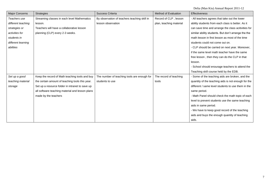| <b>Major Concerns</b> | <b>Strategies</b>                               | Success Criteria                             | Method of Evaluation    | <b>Effectiveness</b>                                |
|-----------------------|-------------------------------------------------|----------------------------------------------|-------------------------|-----------------------------------------------------|
| Teachers use          | Streaming classes in each level Mathematics     | By observation of teachers teaching skill in | Record of CLP, lesson   | - All teachers agrees that take out the lower       |
| different teaching    | lesson.                                         | lesson observation                           | plan, teaching material | ability students from each class is better. As it   |
| strategies or         | Teachers will have a collaborative lesson       |                                              |                         | can save time and arrange the class acitivities for |
| activities for        | planning (CLP) every 2-3 weeks.                 |                                              |                         | similar ability students. But don't arrange the the |
| students in           |                                                 |                                              |                         | math lesson in first lesson as most of the time     |
| different learning    |                                                 |                                              |                         | students could not come out on.                     |
| abilities             |                                                 |                                              |                         | - CLP should be carried on next year. Moreover,     |
|                       |                                                 |                                              |                         | if the same level math teacher have the same        |
|                       |                                                 |                                              |                         | free lesson, then they can do the CLP in that       |
|                       |                                                 |                                              |                         | lesson.                                             |
|                       |                                                 |                                              |                         | - School should enourage teachers to attend the     |
|                       |                                                 |                                              |                         | Teaching skill course held by the EDB.              |
| Set up a good         | Keep the record of Math teaching tools and buy  | The number of teaching tools are enough for  | The record of teaching  | - Some of the teaching aids are broken, and the     |
| teaching material     | the certain amount of teaching tools this year. | students to use                              | tools                   | quantity of the teaching aids is not enough for the |
| storage               | Set up a resource folder in intranet to save up |                                              |                         | different / same level students to use them in the  |
|                       | all software teaching material and lesson plans |                                              |                         | same period.                                        |
|                       | made by the teachers                            |                                              |                         | - Math Panel should check the math topic of each    |
|                       |                                                 |                                              |                         | level to prevent students use the same teaching     |
|                       |                                                 |                                              |                         | aids in same period.                                |
|                       |                                                 |                                              |                         | - We have to keep good record of the teaching       |
|                       |                                                 |                                              |                         | aids and buys the enough quantity of teaching       |
|                       |                                                 |                                              |                         | aids.                                               |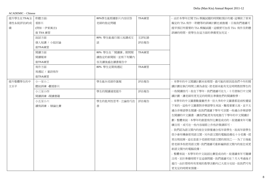ACADEMIC – Chinese

| 提升學生在TSA(全 | 聆聽方面:       | 80%學生能根據影片內容回答  | TSA練習 | - 由於本學年訂閱 TSA 模擬試題的時間較預計的遲,這導致了原來  |
|------------|-------------|-----------------|-------|------------------------------------|
| 港性系統評估)的成  | 看影片         | 老師的指定問題         |       | 擬定的 TSA 寫作,聆聽等的訓練計劃也被推遲。日後我們建議可    |
| 績          | (例如:伊索寓言)   |                 |       | 提早預訂所需要的 TSA 模擬試題,這樣便可加長 TSA 寫作及聆聽 |
|            | 做 TSA 練習    |                 |       | 訓練的時間,使學生在這方面的準備更加充足。              |
|            | 說話方面        | 80% 學生能進行個人短講或交 | 互評紀錄  |                                    |
|            | 個人短講 / 小組討論 | 談               | 評估報告  |                                    |
|            | 做TSA練習      |                 |       |                                    |
|            | 閱讀方面        | 80%學生在「閱讀課」期間閱  | TSA練習 |                                    |
|            | 閱讀報章        | 讀指定的新聞版,並寫下有關內  |       |                                    |
|            | 做TSA練習      | 容及讀後感在讀書報告中     |       |                                    |
|            | 寫作方面        | 80% 學生定期寫週記     | TSA練習 |                                    |
|            | 寫週記 / 童詩寫作  |                 |       |                                    |
|            | 做TSA練習      |                 |       |                                    |
| 提升整體學生的中   | 小一至小二       | 學生能向老師作匯報       | 評估報告  | - 本學年的中文閱讀計劃未如理想,最可能的原因是我們今年的閱     |
| 文水平        | 聽說訓練 -觀看影片  |                 |       | 讀計劃在執行時間上頗為倉促,使老師未能有充足時間教授學生的      |
|            | 小三至小四       | 學生的閱讀速度提升       | 評估報告  | 一些閱讀技巧,故在下學年,我們建議可在九、十月便執行中文閱      |
|            | 閱讀訓練 -閱讀書籍  |                 |       | 讀計劃,讓老師有更充足的時間去準備他們的閱讀教學。          |
|            | 小五至小六       | 學生的批判性思考。立論技巧改  | 評估報告  | - 本學年的中文圖書數量雖然多,但大多的中文圖書都是前校遺留     |
|            | 讀寫訓練 - 辯論比賽 | 善               |       | 下來的,這些中文圖書對非華語學生來說,難度着實太高,並不太      |
|            |             |                 |       | 適合非華語學生閱讀,故我們建議下學年可添置一些適合非華語學      |
|            |             |                 |       | 生閱讀的中文圖書,讓我們能更有效地推行下學年的中文閱讀計       |
|            |             |                 |       | 劃。整體來說,本學年的創意寫作比賽是成功的,故建議來年可繼      |
|            |             |                 |       | 鑟沿用,或可在一些内容細節上作些許微調即可。             |
|            |             |                 |       | - 我們認為語文閣內的座位安排僅適合低年級學生,故高年級學生     |
|            |             |                 |       | 很少會有機會使用語文閣,另外語文閣的電腦設備也十分老舊,經      |
|            |             |                 |       | 常出現故障,這也是甚少老師使用語文閣的原因之一。為了日後能      |
|            |             |                 |       | 使老師多些使用語文閣,我們建議可重新編排語文閣內的座位或更      |
|            |             |                 |       | 新語文閣內的電腦設備。                        |
|            |             |                 |       | - 整體來說,本學年的中文說話比賽是成功的,故建議來年可繼續     |
|            |             |                 |       | 沿用,至於準備時間不足這個問題,我們建議可在7月大考過後才      |
|            |             |                 |       | 進行,由於那時所有常規的教學活動均己大部分完結,故我們可有      |
|            |             |                 |       | 更充足的時間來預備。                         |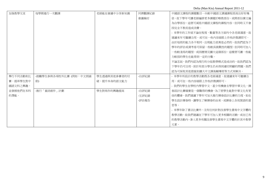| 加強教學交流   | 每學期進行一次觀課              | 老師能在會議中分享新知識 | 同儕觀課紀錄 | 中國語文課程的課題數目一向較中國語文調適課程部高出好好幾   |
|----------|------------------------|--------------|--------|--------------------------------|
|          |                        |              | 會議檢討   | 倍,故下學年可讓老師編排更多課題於略教部份,或將部份課文編  |
|          |                        |              |        | 為自學部份,這便可減低中國語文課程的課程內容,但同時又不會  |
|          |                        |              |        | 因完全不教而造成浪費。                    |
|          |                        |              |        | - 本學年的工作紙不論在程度,數量等各方面均令各老師滿意,故 |
|          |                        |              |        | 建議來年可繼續沿用,或可在一些內容細節上作些許微調即可。   |
|          |                        |              |        | 由於每班的能力各不相同,出現能力差異是必然的,故我們認為下  |
|          |                        |              |        | 學年的評估或測考卷可保留一些較具挑戰性的題型,但同時可加入  |
|          |                        |              |        | 一些較淺易的題型,或因應情況擴大這個部份,這樣便可讓一些能  |
|          |                        |              |        | 力較弱的學生也能得到一定的分數。               |
|          |                        |              |        | 不論怎說,我們均認為現行的分組教學模式是成功的,故我們認為  |
|          |                        |              |        | 下學年仍可沿用,致於有部分學生仍未得到適切照顧的問題,我們  |
|          |                        |              |        | 認為可採取其他措施如擴大中文課後輔導班等方式來解決。     |
| 舉行不同活動和比 | -鼓勵學生參與各項校外比賽 (例如:中文朗誦 | 學生透過與其他參賽者的切 | -自評紀錄  | - 本學年所設計的教學活動既各老師滿意,故建議來年可繼續沿  |
| 賽,提昇學生對中 | 節)                     | 磋,提升本身的語文能力  |        | 用,或可在一些内容細節上作些許微調即可。           |
| 國語文科之興趣, |                        |              |        | - 我們的學生在學校內學習中文,甚少有機會去學習中華文化,揮 |
| 並發展他們在本科 | -推行「童詩創作」計劃            | 學生對寫作的興趣提高   | -自評紀錄  | 春設計比賽確實是一個難得的機會,為了使學生能對中華文化有更  |
| 的潛能。     |                        |              | -互評紀錄  | 佳的體會,我們建議下學年可加大推行揮春設計比賽的力度,如在  |
|          |                        |              | -評估報告  | 學生設計揮春時,讓學生了解揮春的由來,或揮春上各祝賀語的意  |
|          |                        |              |        | 思等。                            |
|          |                        |              |        | - 本學年除了書法比賽外,沒有任何針對改善學生書寫中文字體的 |
|          |                        |              |        | 教學活動,故我們建議在下學年可加入更多相關的活動,或在已有  |
|          |                        |              |        | 的教學活動內,滲入更多有關改善學生書寫中文字體的於其中教學  |
|          |                        |              |        | 元素。                            |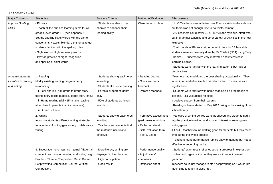ACADEMIC - English

| <b>Major Concerns</b>   | <b>Strategies</b>                                   | Success Criteria               | Method of Evaluation   | Effectiveness                                                      |
|-------------------------|-----------------------------------------------------|--------------------------------|------------------------|--------------------------------------------------------------------|
| <b>Improve Spelling</b> | - Phonics                                           | - Students are able to use     | Observation in class   | - J.1-5 Teachers were able to cover Phonics skills in the syllabus |
| <b>Skills</b>           | - Teach all the phonics learning items for all      | phonics to enhance their       |                        | but there was not enough time to do reinforcement.                 |
|                         | grades, even grade 1-3 (see appendix 1)             | reading ability                |                        | - J.6 Teachers could cover 70% - 80% in the syllabus, effort was   |
|                         | Set the spelling list of words with the same        |                                |                        | put in grammar teaching and other variety of activities in the new |
|                         | consonants, vowels, blends, diphthongs to get       |                                |                        | textbooks.                                                         |
|                         | students familiar with the spelling rules.          |                                |                        | - 2 full rounds of Phonics reinforcement class for J.1 less able   |
|                         | - Sight words / High frequency words.               |                                |                        | students were successfully done by Mr Chislett (NET) using 'Jolly  |
|                         | - Provide practice at sight recognition             |                                |                        | Phonics'. Students were very motivated and interested in           |
|                         | and spelling of sight words                         |                                |                        | learning English.                                                  |
|                         |                                                     |                                |                        | - Students were familiar with the learning patterns but lack of    |
|                         |                                                     |                                |                        | practice time.                                                     |
| Increase students'      | 1. Reading                                          | - Students show great interest | - Reading Journal      | -Teachers had tried doing the peer sharing occasionally. They      |
| incentive in reading    | Modify existing reading programme by                | in reading                     | - Class teacher's      | found it fun and effective, but could not afford to exercise as a  |
| and writing             | introducing:                                        | - Students like home reading   | feedback               | regular basis.                                                     |
|                         | i. Peer sharing (e.g. group to group story          | - Parents support students     | - Parent's feedback    | - Students were familiar with home reading as a preparation of     |
|                         | telling, story-telling buddies, carpet story time.) | daily                          |                        | lessons. J.1-2 students reflected                                  |
|                         | ii. Home reading (daily 15-minute reading           | - 50% of students achieved     |                        | a positive support from their parents.                             |
|                         | aloud time to parents / family members)             | awards                         |                        | - Reading scheme started in May 2012 owing to the closing of the   |
|                         | iii. Award scheme                                   |                                |                        | school library.                                                    |
|                         | 2. Writing                                          | - Students show great interest | - Formative assessment | - Varieties of writing genres were introduced and students had a   |
|                         | Introduce students different writing strategies     | in writing.                    | (performance rubrics)  | regular practice in writing and showed interest in learning new    |
|                         | for a variety of writing genres, e.g. collaborative | - Teachers and students find   | - Reflection sheet     | writing genre.                                                     |
|                         | writing                                             | the materials useful and       | - Self Evaluation form | J.4 & J.5 teachers found drafting good for students but took much  |
|                         |                                                     | effective.                     | - Test & Exam          | time during the whole process                                      |
|                         |                                                     |                                |                        | - Teachers found performance rubrics easy to manage but not as     |
|                         |                                                     |                                |                        | effective as recording marks.                                      |
|                         | 3. Encourage more inspiring internal / External     | - More literacy writing are    | - Performance quality  | - Students' exam result reflected a slight progress in expression, |
|                         | competitions focus on reading and writing, e.g.     | displayed in the classroom.    | - Adjudicators'        | content and organization but they were still weak in use of        |
|                         | Reader's Theatre Competition, Radio Drama           | - High participation           | comments               | grammar.                                                           |
|                         | Script Writing Competition, Journal Writing         | - Good result                  | - Reflection sheet     | Teachers could not manage to start script writing as it would like |
|                         | Competition,                                        |                                |                        | much time to teach in class first.                                 |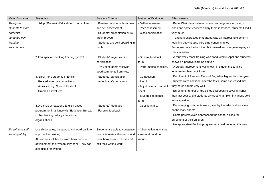| <b>Major Concerns</b> | <b>Strategies</b>                             | Success Criteria                | Method of Evaluation     | Effectiveness                                                      |
|-----------------------|-----------------------------------------------|---------------------------------|--------------------------|--------------------------------------------------------------------|
| To expose             | 1. Adopt 'Drama-in-Education' in curriculum   | - Positive comments from peer   | - Self-assessment.       | - Panel Chair demonstrated some drama games for using in           |
| students to more      |                                               | and self assessment             | - Peer assessment.       | class and some teachers did try them in lessons, students liked it |
| authentic             |                                               | - Students' presentation skills | - Class participation.   | very much                                                          |
| language-rich         |                                               | are improved                    |                          | - Teachers expressed that drama was an interesting element in      |
| learning              |                                               | - Students are bold speaking in |                          | teaching but was also very time-consuming too                      |
| environment           |                                               | public                          |                          | Some teachers had not tried but instead encourage role-play as     |
|                       |                                               |                                 |                          | class activities                                                   |
|                       | 2.TSA special speaking training by NET        | - Students' eagerness in        | - Student feedback       | - A four-week mock training was conducted in April and students    |
|                       |                                               | participation                   | form.                    | showed a positive learning attitude                                |
|                       |                                               | - 75% of students received      | - Performance checklist. | - A steady improvement was shown in students' speaking             |
|                       |                                               | good comments from Nets         |                          | assessment feedback form                                           |
|                       | 3. Enrol more students in English             | - Students' participation       | - Competition.           | Enrolment of Pearson Tests of English is higher than last year.    |
|                       | Related external competitions /               | - Adjudicator's comments        | Result.                  | Students were confident after the tests, some expressed that       |
|                       | Activities, e.g. Speech Festival,             |                                 | - Adjudicator's comment  | they could handle very well                                        |
|                       | Drama Festival, etc.                          |                                 | sheet.                   | - Enrolment number of HK Schools Speech Festival is higher         |
|                       |                                               |                                 | - Students' feedback     | than last year and 5 students awarded champion in various solo     |
|                       |                                               |                                 | form.                    | verse speaking                                                     |
|                       | 4. Organize at least one English based        | - Students' feedback            | - Questionnaire.         | - Encouraging comments were given by the adjudicators shown        |
|                       | programmer in alliance with Education Bureau  | - Parents' feedback             |                          | on the mark sheets                                                 |
|                       | / other leading tertiary educational          |                                 |                          | - Some parents even approached the school asking for               |
|                       | organizations                                 |                                 |                          | enrolment of their children                                        |
|                       |                                               |                                 |                          | - No appropriate English programmer could be found this year       |
| To enhance self       | Use dictionaries, thesaurus, and word bank to | Students are able to constantly | - Observation in writing |                                                                    |
| learning ability      | improve their writing.                        | use dictionaries, thesaurus and | class and hand out       |                                                                    |
|                       | All students will have a word bank book to    | work bank book to revise and    | rubrics                  |                                                                    |
|                       | development their vocabulary bank. They can   | edit their writing work         |                          |                                                                    |
|                       | also use it for writing.                      |                                 |                          |                                                                    |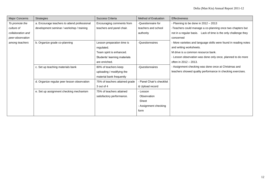| <b>Major Concerns</b> | Strategies                                   | Success Criteria               | Method of Evaluation      | <b>Effectiveness</b>                                             |
|-----------------------|----------------------------------------------|--------------------------------|---------------------------|------------------------------------------------------------------|
| To promote the        | a. Encourage teachers to attend professional | Encouraging comments from      | -Questionnaire for        | - Planning to be done in 2012 - 2013                             |
| culture of            | development seminar / workshop / training    | teachers and panel chair.      | teachers and school       | -Teachers could manage a co-planning once two chapters but       |
| collaboration and     |                                              |                                | authority                 | not in a regular basis. Lack of time is the only challenge they  |
| peer-observation      |                                              |                                |                           | concerned                                                        |
| among teachers        | b. Organize grade co-planning                | Lesson preparation time is     | -Questionnaires           | - More varieties and language skills were found in reading notes |
|                       |                                              | regulated.                     |                           | and writing worksheets.                                          |
|                       |                                              | Team spirit is enhanced.       |                           | M drive is a common resource bank.                               |
|                       |                                              | Students' learning materials   |                           | - Lesson observation was done only once, planned to do more      |
|                       |                                              | are enriched.                  |                           | often in 2012 - 2013.                                            |
|                       | c. Set up teaching materials bank            | 80% of teachers keep           | -Questionnaires           | - Assignment checking was done once at Christmas and             |
|                       |                                              | uploading / modifying the      |                           | teachers showed quality performance in checking exercises.       |
|                       |                                              | material bank frequently       |                           |                                                                  |
|                       | d. Organize regular peer lesson observation  | 75% of teachers attained grade | - Panel Chair's checklist |                                                                  |
|                       |                                              | 3 out of 4                     | & Upload record           |                                                                  |
|                       | e. Set up assignment checking mechanism      | 75% of teachers attained       | - Lesson                  |                                                                  |
|                       |                                              | satisfactory performance.      | Observation               |                                                                  |
|                       |                                              |                                | Sheet                     |                                                                  |
|                       |                                              |                                | - Assignment checking     |                                                                  |
|                       |                                              |                                | form                      |                                                                  |
|                       |                                              |                                |                           |                                                                  |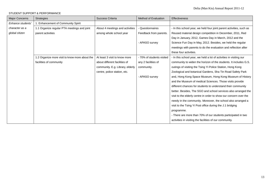### STUDENT SUPPORT & PERFORMANCE

| Major Concerns    | <b>Strategies</b>                              | Success Criteria                 | Method of Evaluation      | <b>Effectiveness</b>                                                 |
|-------------------|------------------------------------------------|----------------------------------|---------------------------|----------------------------------------------------------------------|
| Enhance students' | 1. Enhancement of Community Spirit             |                                  |                           |                                                                      |
| character as a    | 1.1 Organize regular PTA meetings and joint    | About 4 meetings and activities  | Questionnaires            | - In this school year, we held four joint parent activities, such as |
| global citizen    | parent activities                              | among whole school year          | Feedback from parents.    | Reused material design competition in December, 2011, Red            |
|                   |                                                |                                  |                           | Day in January, 2012, Games Day in March, 2012 and the               |
|                   |                                                |                                  | - APASO survey            | Science Fun Day in May, 2012. Besides, we held the regular           |
|                   |                                                |                                  |                           | meetings with parents to do the evaluation and reflection after      |
|                   |                                                |                                  |                           | these four activities.                                               |
|                   | 1.2 Organize more visit to know more about the | At least 3 visit to know more    | - 70% of students visited | - In this school year, we held a lot of activities in visiting our   |
|                   | facilities of community                        | about different facilities of    | any 2 facilities of       | community to widen the horizon of the students. It includes G.S.     |
|                   |                                                | community. E.g. Library, elderly | community.                | outings of visiting the Tsing Yi Police Station, Hong Kong           |
|                   |                                                | centre, police station, etc.     |                           | Zoological and botanical Gardens, Sha Tin Road Safety Park           |
|                   |                                                |                                  | - APASO survey            | and, Hong Kong Space Museum, Hong Kong Museum of History             |
|                   |                                                |                                  |                           | and the Museum of medical Sciences. Those visits provide             |
|                   |                                                |                                  |                           | different chances for students to understand their community         |
|                   |                                                |                                  |                           | better. Besides, The SGO and school services also arranged the       |
|                   |                                                |                                  |                           | visit to the elderly centre in order to show our concern over the    |
|                   |                                                |                                  |                           | needy in the community. Moreover, the school also arranged a         |
|                   |                                                |                                  |                           | visit to the Tsing Yi Post office during the J.1 bridging            |
|                   |                                                |                                  |                           | programme.                                                           |
|                   |                                                |                                  |                           | - There are more than 70% of our students participated in two        |
|                   |                                                |                                  |                           | activities in visiting the facilities of our community.              |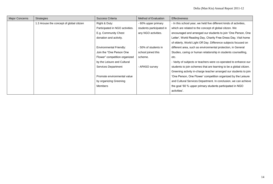| <b>Major Concerns</b> | <b>Strategies</b>                        | Success Criteria<br>Method of Evaluation |                          | <b>Effectiveness</b>                                               |
|-----------------------|------------------------------------------|------------------------------------------|--------------------------|--------------------------------------------------------------------|
|                       | 1.3 Arouse the concept of global citizen | Right & Duty:                            | - 60% upper primary      | - In this school year, we held five different kinds of activities, |
|                       |                                          | Participated in NGO activities.          | students participated in | which are related to the concept of global citizen. We             |
|                       |                                          | E.g. Community Chest                     | any NGO activities.      | encouraged and arranged our students to join 'One Person, One      |
|                       |                                          | donation and activity.                   |                          | Letter', World Reading Day, Charity Free Dress Day, Visit home     |
|                       |                                          |                                          |                          | of elderly, World Light Off Day. Difference subjects focused on    |
|                       |                                          | <b>Environmental Friendly:</b>           | - 50% of students in     | different area, such as environmental protection, in General       |
|                       |                                          | Join the "One Person One"                | school joined this       | Studies, caring or human relationship in students counselling,     |
|                       |                                          | Flower" competition organized            | scheme.                  | etc.                                                               |
|                       |                                          | by the Leisure and Cultural              |                          | - Varity of subjects or teachers were co-operated to enhance our   |
|                       |                                          | Services Department                      | - APASO survey           | students to join schemes that are learning to be a global citizen. |
|                       |                                          |                                          |                          | Greening activity in-charge teacher arranged our students to join  |
|                       |                                          | Promote environmental value              |                          | 'One Person, One Flower' competition organized by the Leisure      |
|                       |                                          | by organizing Greening                   |                          | and Cultural Services Department. In conclusion, we can achieve    |
|                       |                                          | Members                                  |                          | the goal '60 % upper primary students participated in NGO          |
|                       |                                          |                                          |                          | activities'.                                                       |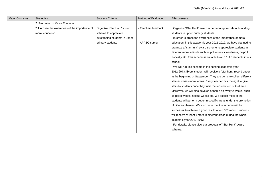| Major Concerns | <b>Strategies</b>                             | Success Criteria<br>Method of Evaluation |                     | <b>Effectiveness</b>                                                 |  |
|----------------|-----------------------------------------------|------------------------------------------|---------------------|----------------------------------------------------------------------|--|
|                | 2. Promotion of Value Education               |                                          |                     |                                                                      |  |
|                | 2.1 Arouse the awareness of the importance of | Organize "Star Hunt" award               | - Teachers feedback | - Organize "Star Hunt" award scheme to appreciate outstanding        |  |
|                | moral education                               | scheme to appreciate                     |                     | students in upper primary students.                                  |  |
|                |                                               | outstanding students in upper            |                     | - In order to arose the awareness of the importance of moral         |  |
|                |                                               | primary students                         | - APASO survey      | education, in this academic year 2011-2012, we have planned to       |  |
|                |                                               |                                          |                     | organize a "star hunt" award scheme to appreciate students in        |  |
|                |                                               |                                          |                     | different moral attitude such as politeness, cleanliness, helpful,   |  |
|                |                                               |                                          |                     | honestly etc. This scheme is suitable to all J.1-J.6 students in our |  |
|                |                                               |                                          |                     | school.                                                              |  |
|                |                                               |                                          |                     | - We will run this scheme in the coming academic year                |  |
|                |                                               |                                          |                     | 2012-2013. Every student will receive a "star hunt" record paper     |  |
|                |                                               |                                          |                     | at the beginning of September. They are going to collect different   |  |
|                |                                               |                                          |                     | stars in varies moral areas. Every teacher has the right to give     |  |
|                |                                               |                                          |                     | stars to students once they fulfill the requirement of that area.    |  |
|                |                                               |                                          |                     | Moreover, we will also develop a theme on every 2 weeks, such        |  |
|                |                                               |                                          |                     | as polite weeks, helpful weeks etc. We expect most of the            |  |
|                |                                               |                                          |                     | students will perform better in specific areas under the promotion   |  |
|                |                                               |                                          |                     | of different themes. We also hope that the scheme will be            |  |
|                |                                               |                                          |                     | successful to achieve a good result; about 80% of our students       |  |
|                |                                               |                                          |                     | will receive at least 4 stars in different areas during the whole    |  |
|                |                                               |                                          |                     | academic year 2012-2013.                                             |  |
|                |                                               |                                          |                     | - For details, please view our proposal of "Star Hunt" award         |  |
|                |                                               |                                          |                     | scheme.                                                              |  |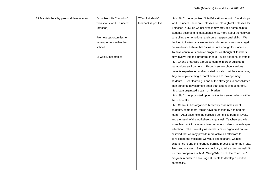| 2.2 Maintain healthy personal development. | Organise "Life Education"  | 75% of students'     | - Ms. Siu Y has organised "Life Education - emotion" workshops       |
|--------------------------------------------|----------------------------|----------------------|----------------------------------------------------------------------|
|                                            | workshops for J.5 students | feedback is positive | for J.5 student, there are 3 classes per class (Total 9 classes for  |
|                                            | (emotion)                  |                      | 3 classes in J5), so we believed it may provided some help to        |
|                                            |                            |                      | students according to let students know more about themselves,       |
|                                            | Promote opportunities for  |                      | controlling their emotions, and some interpersonal skills. We        |
|                                            | serving others within the  |                      | decided to invite social worker to hold classes in next year again,  |
|                                            | school.                    |                      | but we do not believe that 3 classes are enough for students.        |
|                                            |                            |                      | To have continuous positive progress, we though all teachers         |
|                                            | Bi-weekly assembles.       |                      | may involve into this program, then all levels get benefits from it. |
|                                            |                            |                      | - Mr. Cheng organized a prefect team to in order build up a          |
|                                            |                            |                      | harmonious environment. Through some school services                 |
|                                            |                            |                      | prefects experienced and educated morally. At the same time,         |
|                                            |                            |                      | they are implementing a moral example to lower primary               |
|                                            |                            |                      | students. Peer learning is one of the strategies to consolidated     |
|                                            |                            |                      | their personal development other than taught by teacher only.        |
|                                            |                            |                      | - Ms. Lam organized a team of librarian.                             |
|                                            |                            |                      | - Ms. Siu Y has promoted opportunities for serving others within     |
|                                            |                            |                      | the school like.                                                     |
|                                            |                            |                      | - Mr. Chan SC has organised bi-weekly assembles for all              |
|                                            |                            |                      | students, some moral topics have be chosen by him and his            |
|                                            |                            |                      | team. After assemble, he collected some files from all levels,       |
|                                            |                            |                      | and the result of the worksheets is quit well. Teachers provided     |
|                                            |                            |                      | some feedback for students in order to let students have deeper      |
|                                            |                            |                      | reflection. The bi-weekly assemble is more organised but we          |
|                                            |                            |                      | believed that we may provide more activities afterward to            |
|                                            |                            |                      | consolidate the message we would like to share. Gaining              |
|                                            |                            |                      | experience is one of important learning process, other than read,    |
|                                            |                            |                      | listen and answer. Students should try to take action as well. So    |
|                                            |                            |                      | we may co-operate with Mr. Wong WN to hold the "Star Hunt"           |
|                                            |                            |                      | program in order to encourage students to develop a positive         |
|                                            |                            |                      | personality.                                                         |
|                                            |                            |                      |                                                                      |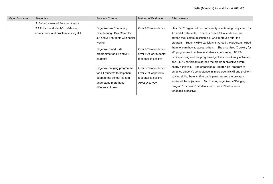| <b>Major Concerns</b> | <b>Strategies</b>                                                          | Success Criteria                                                                                                                                                    | Method of Evaluation                                                                        | <b>Effectiveness</b>                                                                                                                                                                                                                                                                                                                                                                                                                                                                                               |
|-----------------------|----------------------------------------------------------------------------|---------------------------------------------------------------------------------------------------------------------------------------------------------------------|---------------------------------------------------------------------------------------------|--------------------------------------------------------------------------------------------------------------------------------------------------------------------------------------------------------------------------------------------------------------------------------------------------------------------------------------------------------------------------------------------------------------------------------------------------------------------------------------------------------------------|
|                       | 3. Enhancement of Self- confidence                                         |                                                                                                                                                                     |                                                                                             |                                                                                                                                                                                                                                                                                                                                                                                                                                                                                                                    |
|                       | 3.1 Enhance students' confidence,<br>competence and problem solving skill. | Organize two Community<br>Orienteering / Day Camp for<br>J.5 and J.6 students with social<br>worker<br>Organize Smart Kids<br>programme for J.4 and J.5<br>students | Over 90% attendance<br>Over 90% attendance<br>Over 80% of Students'<br>feedback is positive | - Ms. Siu Y organized two community orienteering / day camp for<br>J.5 and J.6 students. There is over 90% attendance, and<br>agreed their communication skill was improved after the<br>program. But only 68% participants agreed the program helped<br>them to learn how to accept others. She organized "Cookery for<br>all" programme to enhance students' confidence. 85.7%<br>participants agreed the program objectives were totally achieved,<br>and 14.3% participants agreed the program objectives were |
|                       |                                                                            | Organize bridging programme<br>for J.1 students to help them<br>adapt to the school life and<br>understand more about<br>different cultures                         | Over 50% attendance<br>Over 70% of parents'<br>feedback is positive<br>APASO survey         | nearly achieved. She organized a "Smart Kids" program to<br>enhance student's competence in interpersonal skill and problem<br>solving skills, there is 85% participants agreed the program<br>achieved the objectives. Mr. Cheung organized a "Bridging<br>Program" for new J1 students, and over 70% of parents'<br>feedback is positive.                                                                                                                                                                        |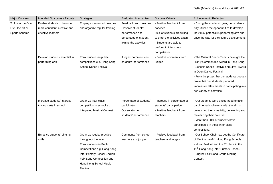| Major Concern     | Intended Outcomes / Targets   | <b>Strategies</b>                 | <b>Evaluation Mechanism</b> | Success Criteria              | Achievement / Reflection                              |
|-------------------|-------------------------------|-----------------------------------|-----------------------------|-------------------------------|-------------------------------------------------------|
| To foster the One | Enable students to become     | Employ experienced coaches        | Feedback from coaches       | - Positive feedback from      | - During the academic year, our students              |
| Life One Art or   | more confident, creative and  | and organize regular training     | Observe students'           | coaches                       | fully utilized the opportunities to develop           |
| Sports Scheme     | effective learners            |                                   | performance and             | 80% of students are willing   | individual potential in performing arts and           |
|                   |                               |                                   | percentage of student       | to enrol the activities again | pave the way for their future development.            |
|                   |                               |                                   | joining the activities      | - Students are able to        |                                                       |
|                   |                               |                                   |                             | perform in inter-class        |                                                       |
|                   |                               |                                   |                             | competitions                  |                                                       |
|                   | Develop students potential in | Enrol students in public          | Judges' comments on         | - Positive comments from      | - The Oriental Dance Teams have got the               |
|                   | performing arts               | competitions e.g. Hong Kong       | students' performance       | judges                        | Highly Commended Award in Hong Kong                   |
|                   |                               | <b>School Dance Festival</b>      |                             |                               | - Schools Dance Festival and Silver Award             |
|                   |                               |                                   |                             |                               | in Open Dance Festival                                |
|                   |                               |                                   |                             |                               | - From the prizes that our students got can           |
|                   |                               |                                   |                             |                               | prove that our students procured                      |
|                   |                               |                                   |                             |                               | impressive attainments in participating in a          |
|                   |                               |                                   |                             |                               | rich variety of activities.                           |
|                   |                               |                                   |                             |                               |                                                       |
|                   | Increase students' interest   | Organize inter-class              | Percentage of students'     | - Increase in percentage of   | - Our students were encouraged to take                |
|                   | towards arts in school.       | competition in school e.g.        | participation               | students' participation.      | part inter-school events with the aim of              |
|                   |                               | <b>Integrated Musical Contest</b> | Observation on              | - Positive feedback from      | unleashing their creativity, developing and           |
|                   |                               |                                   | students' performance       | teachers.                     | maximizing their potential.                           |
|                   |                               |                                   |                             |                               | - More than 80% of students have                      |
|                   |                               |                                   |                             |                               | participated in those inter-class                     |
|                   |                               |                                   |                             |                               | competitions.                                         |
|                   | Enhance students' singing     | Organize regular practice         | Comments from school        | - Positive feedback from      | - Our School Choir has got the Certificate            |
|                   | skills                        | throughout the year               | teachers and judges         | teachers and judges.          | of Merit in the 64 <sup>th</sup> Hong Kong Schools    |
|                   |                               | Enrol students in Public          |                             |                               | - Music Festival and the 3 <sup>rd</sup> place in the |
|                   |                               | Competitions e.g. Hong Kong       |                             |                               | 11 <sup>th</sup> Hong Kong Inter-Primary School.      |
|                   |                               | Inter Primary School English      |                             |                               | - English Folk Song Group Singing                     |
|                   |                               | Folk Song Competition and         |                             |                               | Contest.                                              |
|                   |                               | Hong Kong School Music            |                             |                               |                                                       |
|                   |                               | Festival                          |                             |                               |                                                       |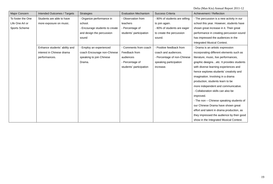| Major Concern     | Intended Outcomes / Targets   | <b>Strategies</b>              | <b>Evaluation Mechanism</b> | Success Criteria              | Achievement / Reflection                  |
|-------------------|-------------------------------|--------------------------------|-----------------------------|-------------------------------|-------------------------------------------|
| To foster the One | Students are able to have     | - Organize performance in      | - Observation from          | - 80% of students are willing | - The percussion is a new activity in our |
| Life One Art or   | more exposure on music.       | school.                        | teachers                    | to join again.                | school this year. However, students have  |
| Sports Scheme     |                               | - Encourage students to create | - Percentage of             | - 80% of students are eager   | shown great increase in it. Their great   |
|                   |                               | and design the percussion      | students' participation     | to create the percussion      | performance in creating percussion sound  |
|                   |                               | sound                          |                             | sound.                        | has impressed the audiences in the        |
|                   |                               |                                |                             |                               | Integrated Musical Contest.               |
|                   | Enhance students' ability and | - Employ an experienced        | - Comments from coach       | - Positive feedback from      | - Drama is an artistic expression         |
|                   | interest in Chinese drama     | coach Encourage non-Chinese    | Feedback from               | coach and audiences.          | incorporating different elements such as  |
|                   | performances.                 | speaking to join Chinese       | audiences                   | - Percentage of non-Chinese   | literature, music, live performances,     |
|                   |                               | Drama.                         | - Percentage of             | speaking participation        | graphic designsetc. It provides students  |
|                   |                               |                                | students' participation     | increase.                     | with diverse learning experiences and     |
|                   |                               |                                |                             |                               | hence explores students' creativity and   |
|                   |                               |                                |                             |                               | imagination. Involving in a drama         |
|                   |                               |                                |                             |                               | production, students learn to be          |
|                   |                               |                                |                             |                               | more independent and communicative.       |
|                   |                               |                                |                             |                               | - Collaboration skills can also be        |
|                   |                               |                                |                             |                               | improved.                                 |
|                   |                               |                                |                             |                               | - The non - Chinese speaking students of  |
|                   |                               |                                |                             |                               | our Chinese Drama have shown great        |
|                   |                               |                                |                             |                               | effort and talent in drama production, as |
|                   |                               |                                |                             |                               | they impressed the audience by their good |
|                   |                               |                                |                             |                               | show in the Integrated Musical Contest.   |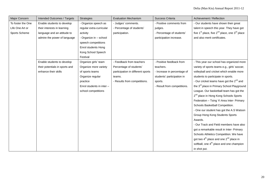| Major Concern     | Intended Outcomes / Targets    | <b>Strategies</b>         | <b>Evaluation Mechanism</b>       | Success Criteria            | Achievement / Reflection                               |
|-------------------|--------------------------------|---------------------------|-----------------------------------|-----------------------------|--------------------------------------------------------|
| To foster the One | Enable students to develop     | - Organize speech as      | - Judges' comments.               | - Positive comments from    | - Our students have shown their great                  |
| Life One Art or   | their interests in learning    | regular extra-curricular  | - Percentage of students'         | judges.                     | talent in speech this year. They have got              |
| Sports Scheme     | language and an attitude to    | activity                  | participation.                    | - Percentage of students'   | five $1st$ place, five $2nd$ place, one $3rd$ place    |
|                   | admire the power of language   | - Organize in - school    |                                   | participation increase.     | and also merit certificates.                           |
|                   |                                | speech competitions       |                                   |                             |                                                        |
|                   |                                | Enrol students Hong       |                                   |                             |                                                        |
|                   |                                | Kong School Speech        |                                   |                             |                                                        |
|                   |                                | Festival                  |                                   |                             |                                                        |
|                   | Enable students to develop     | Organize girls' team      | - Feedback from teachers          | - Positive feedback from    | - This year our school has organized more              |
|                   | their potentials in sports and | Organize more variety     | Percentage of students'           | teachers.                   | variety of sports teams e.g., girls' soccer,           |
|                   | enhance their skills           | of sports teams           | participation in different sports | - Increase in percentage of | volleyball and cricket which enable more               |
|                   |                                | Organize regular          | teams.                            | students' participation in  | students to participate in sports.                     |
|                   |                                | practice                  | - Results from competitions.      | sports.                     | - Our cricket teams have got the 2 <sup>nd</sup> and   |
|                   |                                | Enrol students in inter - |                                   | - Result from competitions. | the 3 <sup>rd</sup> place in Primary School Playground |
|                   |                                | school competitions       |                                   |                             | League. Our basketball team has got the                |
|                   |                                |                           |                                   |                             | 2 <sup>nd</sup> place in Hong Kong Schools Sports      |
|                   |                                |                           |                                   |                             | Federation - Tsing Yi Area Inter- Primary              |
|                   |                                |                           |                                   |                             | Schools Basketball Competition.                        |
|                   |                                |                           |                                   |                             | - One our student has got the A.S Watson               |
|                   |                                |                           |                                   |                             | Group Hong Kong Students Sports                        |
|                   |                                |                           |                                   |                             | Awards.                                                |
|                   |                                |                           |                                   |                             | - Our Track and Field members have also                |
|                   |                                |                           |                                   |                             | got a remarkable result in Inter- Primary              |
|                   |                                |                           |                                   |                             | Schools Athletics Competition. We have                 |
|                   |                                |                           |                                   |                             | got two $4^{th}$ place and one $2^{nd}$ place in       |
|                   |                                |                           |                                   |                             | softball, one 4 <sup>th</sup> place and one champion   |
|                   |                                |                           |                                   |                             | in shot put.                                           |